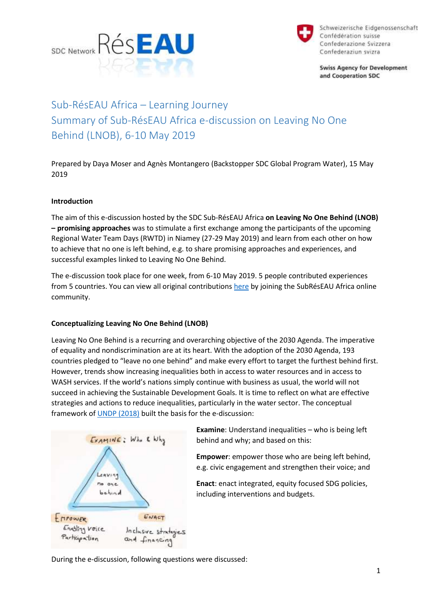



Schweizerische Eidgenossenschaft Confédération suisse Confederazione Svizzera Confederaziun svizra

**Swiss Agency for Development** and Cooperation SDC

# Sub-RésEAU Africa – Learning Journey Summary of Sub-RésEAU Africa e-discussion on Leaving No One Behind (LNOB), 6-10 May 2019

Prepared by Daya Moser and Agnès Montangero (Backstopper SDC Global Program Water), 15 May 2019

## **Introduction**

The aim of this e-discussion hosted by the SDC Sub-RésEAU Africa **on Leaving No One Behind (LNOB) – promising approaches** was to stimulate a first exchange among the participants of the upcoming Regional Water Team Days (RWTD) in Niamey (27-29 May 2019) and learn from each other on how to achieve that no one is left behind, e.g. to share promising approaches and experiences, and successful examples linked to Leaving No One Behind.

The e-discussion took place for one week, from 6-10 May 2019. 5 people contributed experiences from 5 countries. You can view all original contributions [here](https://dgroups.org/sdc/reseau/africa/discussions/3s5t5236) by joining the SubRésEAU Africa online community.

## **Conceptualizing Leaving No One Behind (LNOB)**

Leaving No One Behind is a recurring and overarching objective of the 2030 Agenda. The imperative of equality and nondiscrimination are at its heart. With the adoption of the 2030 Agenda, 193 countries pledged to "leave no one behind" and make every effort to target the furthest behind first. However, trends show increasing inequalities both in access to water resources and in access to WASH services. If the world's nations simply continue with business as usual, the world will not succeed in achieving the Sustainable Development Goals. It is time to reflect on what are effective strategies and actions to reduce inequalities, particularly in the water sector. The conceptual framework of [UNDP \(2018\)](https://www.undp.org/content/undp/en/home/librarypage/poverty-reduction/what-does-it-mean-to-leave-no-one-behind-.html) built the basis for the e-discussion:



**Examine**: Understand inequalities – who is being left behind and why; and based on this:

**Empower**: empower those who are being left behind, e.g. civic engagement and strengthen their voice; and

**Enact**: enact integrated, equity focused SDG policies, including interventions and budgets.

During the e-discussion, following questions were discussed: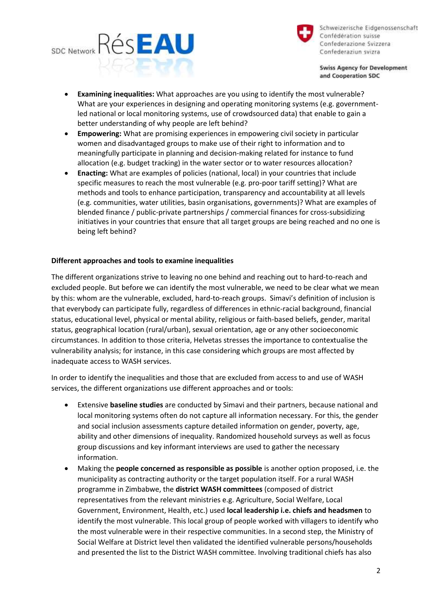



Schweizerische Eidgenossenschaft Confédération suisse Confederazione Svizzera Confederaziun svizra

**Swiss Agency for Development** and Cooperation SDC

- **Examining inequalities:** What approaches are you using to identify the most vulnerable? What are your experiences in designing and operating monitoring systems (e.g. governmentled national or local monitoring systems, use of crowdsourced data) that enable to gain a better understanding of why people are left behind?
- **Empowering:** What are promising experiences in empowering civil society in particular women and disadvantaged groups to make use of their right to information and to meaningfully participate in planning and decision-making related for instance to fund allocation (e.g. budget tracking) in the water sector or to water resources allocation?
- **Enacting:** What are examples of policies (national, local) in your countries that include specific measures to reach the most vulnerable (e.g. pro-poor tariff setting)? What are methods and tools to enhance participation, transparency and accountability at all levels (e.g. communities, water utilities, basin organisations, governments)? What are examples of blended finance / public-private partnerships / commercial finances for cross-subsidizing initiatives in your countries that ensure that all target groups are being reached and no one is being left behind?

## **Different approaches and tools to examine inequalities**

The different organizations strive to leaving no one behind and reaching out to hard-to-reach and excluded people. But before we can identify the most vulnerable, we need to be clear what we mean by this: whom are the vulnerable, excluded, hard-to-reach groups. Simavi's definition of inclusion is that everybody can participate fully, regardless of differences in ethnic-racial background, financial status, educational level, physical or mental ability, religious or faith-based beliefs, gender, marital status, geographical location (rural/urban), sexual orientation, age or any other socioeconomic circumstances. In addition to those criteria, Helvetas stresses the importance to contextualise the vulnerability analysis; for instance, in this case considering which groups are most affected by inadequate access to WASH services.

In order to identify the inequalities and those that are excluded from access to and use of WASH services, the different organizations use different approaches and or tools:

- Extensive **baseline studies** are conducted by Simavi and their partners, because national and local monitoring systems often do not capture all information necessary. For this, the gender and social inclusion assessments capture detailed information on gender, poverty, age, ability and other dimensions of inequality. Randomized household surveys as well as focus group discussions and key informant interviews are used to gather the necessary information.
- Making the **people concerned as responsible as possible** is another option proposed, i.e. the municipality as contracting authority or the target population itself. For a rural WASH programme in Zimbabwe, the **district WASH committees** (composed of district representatives from the relevant ministries e.g. Agriculture, Social Welfare, Local Government, Environment, Health, etc.) used **local leadership i.e. chiefs and headsmen** to identify the most vulnerable. This local group of people worked with villagers to identify who the most vulnerable were in their respective communities. In a second step, the Ministry of Social Welfare at District level then validated the identified vulnerable persons/households and presented the list to the District WASH committee. Involving traditional chiefs has also